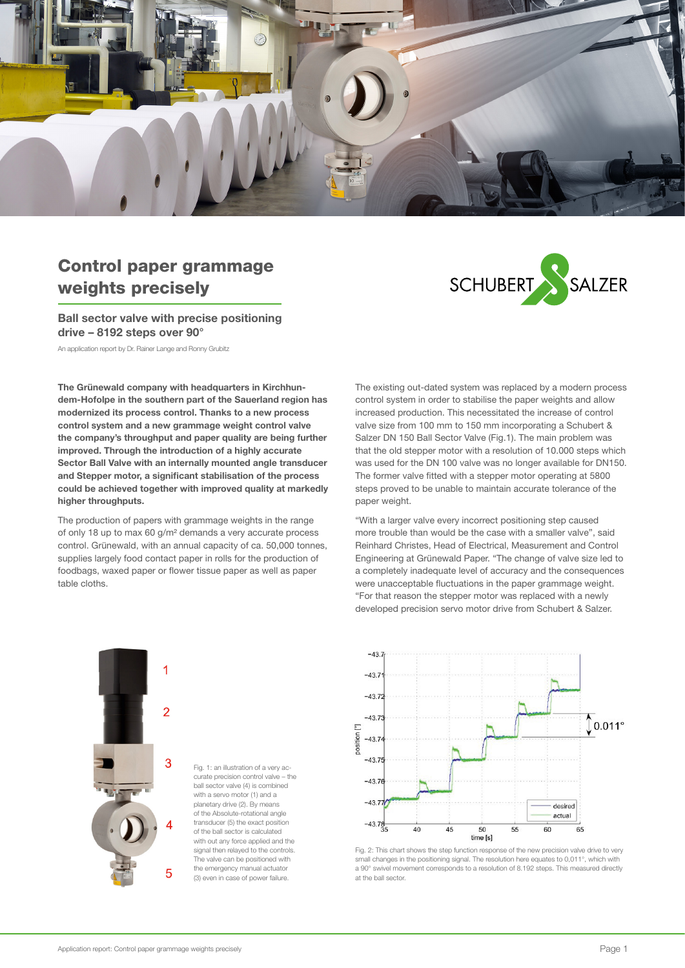

# Control paper grammage weights precisely

Ball sector valve with precise positioning drive – 8192 steps over 90°

An application report by Dr. Rainer Lange and Ronny Grubitz

The Grünewald company with headquarters in Kirchhundem-Hofolpe in the southern part of the Sauerland region has modernized its process control. Thanks to a new process control system and a new grammage weight control valve the company's throughput and paper quality are being further improved. Through the introduction of a highly accurate Sector Ball Valve with an internally mounted angle transducer and Stepper motor, a significant stabilisation of the process could be achieved together with improved quality at markedly higher throughputs.

The production of papers with grammage weights in the range of only 18 up to max 60 g/m² demands a very accurate process control. Grünewald, with an annual capacity of ca. 50,000 tonnes, supplies largely food contact paper in rolls for the production of foodbags, waxed paper or flower tissue paper as well as paper table cloths.



The existing out-dated system was replaced by a modern process control system in order to stabilise the paper weights and allow increased production. This necessitated the increase of control valve size from 100 mm to 150 mm incorporating a Schubert & Salzer DN 150 Ball Sector Valve (Fig.1). The main problem was that the old stepper motor with a resolution of 10.000 steps which was used for the DN 100 valve was no longer available for DN150. The former valve fitted with a stepper motor operating at 5800 steps proved to be unable to maintain accurate tolerance of the paper weight.

"With a larger valve every incorrect positioning step caused more trouble than would be the case with a smaller valve", said Reinhard Christes, Head of Electrical, Measurement and Control Engineering at Grünewald Paper. "The change of valve size led to a completely inadequate level of accuracy and the consequences were unacceptable fluctuations in the paper grammage weight. "For that reason the stepper motor was replaced with a newly developed precision servo motor drive from Schubert & Salzer.



Fig. 1: an illustration of a very accurate precision control valve – the ball sector valve (4) is combined with a servo motor (1) and a planetary drive (2). By means of the Absolute-rotational angle transducer (5) the exact position of the ball sector is calculated with out any force applied and the signal then relayed to the controls. The valve can be positioned with the emergency manual actuator (3) even in case of power failure.



Fig. 2: This chart shows the step function response of the new precision valve drive to very small changes in the positioning signal. The resolution here equates to 0,011°, which with a 90° swivel movement corresponds to a resolution of 8.192 steps. This measured directly at the ball sector.